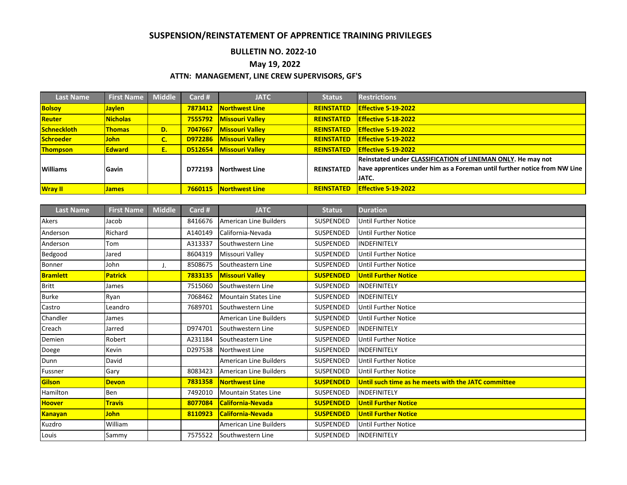## **SUSPENSION/REINSTATEMENT OF APPRENTICE TRAINING PRIVILEGES**

## **BULLETIN NO. 2022-10**

## **May 19, 2022**

## **ATTN: MANAGEMENT, LINE CREW SUPERVISORS, GF'S**

| <b>Last Name</b>   | <b>First Name</b> | <b>Middle</b> | Card #  | <b>JATC</b>            | <b>Status</b>     | <b>Restrictions</b>                                                       |  |
|--------------------|-------------------|---------------|---------|------------------------|-------------------|---------------------------------------------------------------------------|--|
| <b>Bolsoy</b>      | <b>Jaylen</b>     |               | 7873412 | Northwest Line         | <b>REINSTATED</b> | Effective 5-19-2022                                                       |  |
| Reuter             | <b>Nicholas</b>   |               | 7555792 | <b>Missouri Valley</b> | <b>REINSTATED</b> | Effective 5-18-2022                                                       |  |
| <b>Schneckloth</b> | <b>Thomas</b>     | D.            | 7047667 | <b>Missouri Valley</b> | <b>REINSTATED</b> | Effective 5-19-2022                                                       |  |
| Schroeder          | <b>John</b>       | С.            | D972286 | <b>Missouri Valley</b> | <b>REINSTATED</b> | <b>Effective 5-19-2022</b>                                                |  |
| <b>Thompson</b>    | <b>Edward</b>     | Е.            | D512654 | <b>Missouri Valley</b> | <b>REINSTATED</b> | Effective 5-19-2022                                                       |  |
|                    |                   |               |         |                        |                   | Reinstated under CLASSIFICATION of LINEMAN ONLY. He may not               |  |
| <b>Williams</b>    | <b>IGavin</b>     |               | D772193 | <b>Northwest Line</b>  | <b>REINSTATED</b> | have apprentices under him as a Foreman until further notice from NW Line |  |
|                    |                   |               |         |                        |                   | JATC.                                                                     |  |
| <b>Wray II</b>     | <b>James</b>      |               | 7660115 | Northwest Line         | <b>REINSTATED</b> | <b>Effective 5-19-2022</b>                                                |  |

| <b>Last Name</b> | <b>First Name</b> | <b>Middle</b> | Card #  | <b>JATC</b>                   | <b>Status</b>    | <b>Duration</b>                                     |  |
|------------------|-------------------|---------------|---------|-------------------------------|------------------|-----------------------------------------------------|--|
| Akers            | Jacob             |               | 8416676 | <b>American Line Builders</b> | SUSPENDED        | <b>Until Further Notice</b>                         |  |
| Anderson         | Richard           |               | A140149 | California-Nevada             | SUSPENDED        | <b>Until Further Notice</b>                         |  |
| Anderson         | Tom               |               | A313337 | Southwestern Line             | SUSPENDED        | INDEFINITELY                                        |  |
| Bedgood          | Jared             |               | 8604319 | Missouri Valley               | SUSPENDED        | <b>Until Further Notice</b>                         |  |
| Bonner           | John              | J.            | 8508675 | Southeastern Line             | SUSPENDED        | Until Further Notice                                |  |
| <b>Bramlett</b>  | <b>Patrick</b>    |               | 7833135 | <b>Missouri Vallev</b>        | <b>SUSPENDED</b> | <b>Until Further Notice</b>                         |  |
| <b>Britt</b>     | James             |               | 7515060 | Southwestern Line             | SUSPENDED        | INDEFINITELY                                        |  |
| <b>Burke</b>     | Ryan              |               | 7068462 | <b>Mountain States Line</b>   | SUSPENDED        | INDEFINITELY                                        |  |
| Castro           | Leandro           |               | 7689701 | Southwestern Line             | SUSPENDED        | <b>Until Further Notice</b>                         |  |
| Chandler         | James             |               |         | <b>American Line Builders</b> | SUSPENDED        | <b>Until Further Notice</b>                         |  |
| Creach           | Jarred            |               | D974701 | Southwestern Line             | SUSPENDED        | INDEFINITELY                                        |  |
| Demien           | Robert            |               | A231184 | Southeastern Line             | SUSPENDED        | <b>Until Further Notice</b>                         |  |
| Doege            | Kevin             |               | D297538 | Northwest Line                | SUSPENDED        | INDEFINITELY                                        |  |
| Dunn             | David             |               |         | <b>American Line Builders</b> | SUSPENDED        | <b>Until Further Notice</b>                         |  |
| Fussner          | Gary              |               | 8083423 | <b>American Line Builders</b> | SUSPENDED        | Until Further Notice                                |  |
| Gilson           | <b>Devon</b>      |               | 7831358 | <b>Northwest Line</b>         | <b>SUSPENDED</b> | Until such time as he meets with the JATC committee |  |
| Hamilton         | Ben               |               | 7492010 | <b>Mountain States Line</b>   | SUSPENDED        | INDEFINITELY                                        |  |
| <b>Hoover</b>    | <b>Travis</b>     |               | 8077084 | <b>California-Nevada</b>      | <b>SUSPENDED</b> | <b>Until Further Notice</b>                         |  |
| <b>Kanayan</b>   | <b>John</b>       |               | 8110923 | <b>California-Nevada</b>      | <b>SUSPENDED</b> | <b>Until Further Notice</b>                         |  |
| Kuzdro           | William           |               |         | <b>American Line Builders</b> | SUSPENDED        | <b>Until Further Notice</b>                         |  |
| Louis            | Sammy             |               | 7575522 | Southwestern Line             | SUSPENDED        | INDEFINITELY                                        |  |